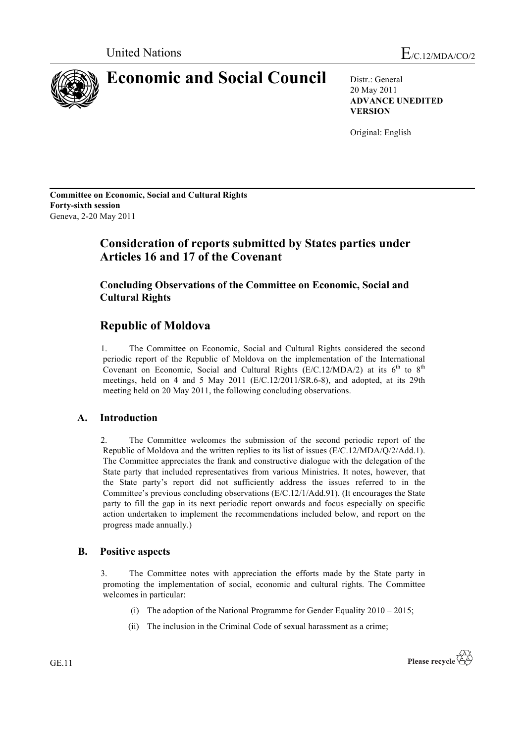

20 May 2011 **ADVANCE UNEDITED VERSION**

Original: English

**Committee on Economic, Social and Cultural Rights Forty-sixth session** Geneva, 2-20 May 2011

# **Consideration of reports submitted by States parties under Articles 16 and 17 of the Covenant**

**Concluding Observations of the Committee on Economic, Social and Cultural Rights**

## **Republic of Moldova**

1. The Committee on Economic, Social and Cultural Rights considered the second periodic report of the Republic of Moldova on the implementation of the International Covenant on Economic, Social and Cultural Rights  $(E/C.12/MDA/2)$  at its  $6<sup>th</sup>$  to  $8<sup>th</sup>$ meetings, held on 4 and 5 May 2011 (E/C.12/2011/SR.6-8), and adopted, at its 29th meeting held on 20 May 2011, the following concluding observations.

## **A. Introduction**

2. The Committee welcomes the submission of the second periodic report of the Republic of Moldova and the written replies to its list of issues (E/C.12/MDA/Q/2/Add.1). The Committee appreciates the frank and constructive dialogue with the delegation of the State party that included representatives from various Ministries. It notes, however, that the State party's report did not sufficiently address the issues referred to in the Committee's previous concluding observations (E/C.12/1/Add.91). (It encourages the State party to fill the gap in its next periodic report onwards and focus especially on specific action undertaken to implement the recommendations included below, and report on the progress made annually.)

### **B. Positive aspects**

3. The Committee notes with appreciation the efforts made by the State party in promoting the implementation of social, economic and cultural rights. The Committee welcomes in particular:

- (i) The adoption of the National Programme for Gender Equality  $2010 2015$ ;
- (ii) The inclusion in the Criminal Code of sexual harassment as a crime;

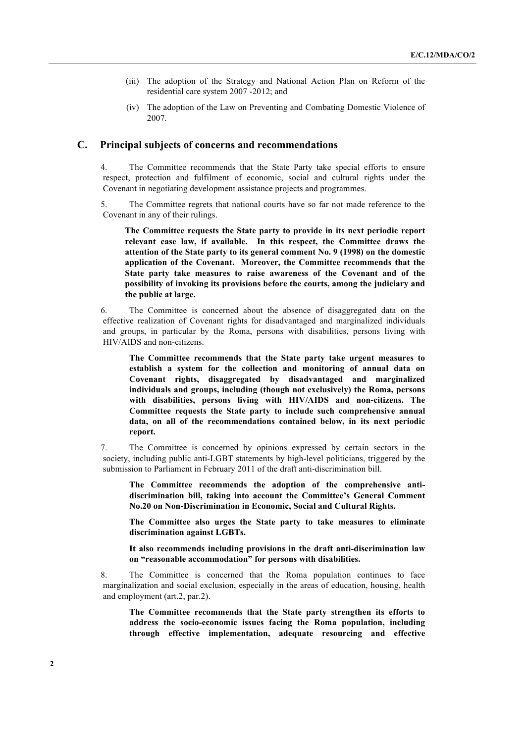- (iii) The adoption of the Strategy and National Action Plan on Reform of the residential care system 2007 -2012; and
- (iv) The adoption of the Law on Preventing and Combating Domestic Violence of 2007.

#### **C. Principal subjects of concerns and recommendations**

4. The Committee recommends that the State Party take special efforts to ensure respect, protection and fulfilment of economic, social and cultural rights under the Covenant in negotiating development assistance projects and programmes.

5. The Committee regrets that national courts have so far not made reference to the Covenant in any of their rulings.

**The Committee requests the State party to provide in its next periodic report relevant case law, if available. In this respect, the Committee draws the attention of the State party to its general comment No. 9 (1998) on the domestic application of the Covenant. Moreover, the Committee recommends that the State party take measures to raise awareness of the Covenant and of the possibility of invoking its provisions before the courts, among the judiciary and the public at large.**

6. The Committee is concerned about the absence of disaggregated data on the effective realization of Covenant rights for disadvantaged and marginalized individuals and groups, in particular by the Roma, persons with disabilities, persons living with HIV/AIDS and non-citizens.

**The Committee recommends that the State party take urgent measures to establish a system for the collection and monitoring of annual data on Covenant rights, disaggregated by disadvantaged and marginalized individuals and groups, including (though not exclusively) the Roma, persons with disabilities, persons living with HIV/AIDS and non-citizens. The Committee requests the State party to include such comprehensive annual data, on all of the recommendations contained below, in its next periodic report.**

7. The Committee is concerned by opinions expressed by certain sectors in the society, including public anti-LGBT statements by high-level politicians, triggered by the submission to Parliament in February 2011 of the draft anti-discrimination bill.

**The Committee recommends the adoption of the comprehensive antidiscrimination bill, taking into account the Committee's General Comment No.20 on Non-Discrimination in Economic, Social and Cultural Rights.**

**The Committee also urges the State party to take measures to eliminate discrimination against LGBTs.**

**It also recommends including provisions in the draft anti-discrimination law on "reasonable accommodation" for persons with disabilities.**

8. The Committee is concerned that the Roma population continues to face marginalization and social exclusion, especially in the areas of education, housing, health and employment (art.2, par.2).

**The Committee recommends that the State party strengthen its efforts to address the socio-economic issues facing the Roma population, including through effective implementation, adequate resourcing and effective**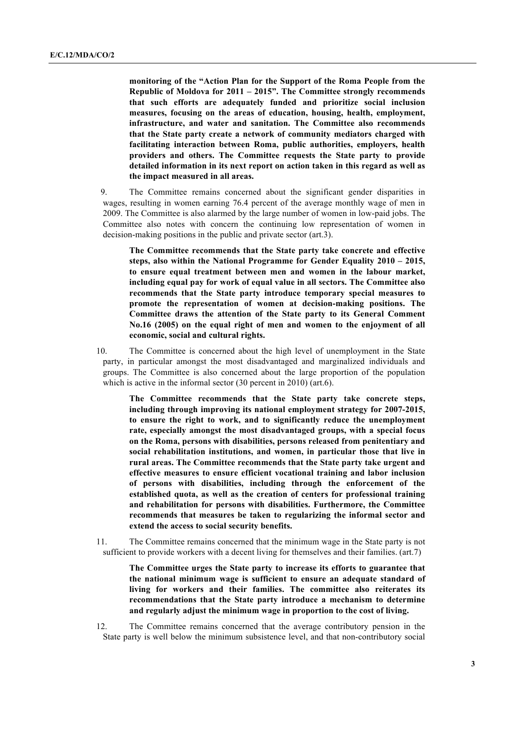**monitoring of the "Action Plan for the Support of the Roma People from the Republic of Moldova for 2011 – 2015". The Committee strongly recommends that such efforts are adequately funded and prioritize social inclusion measures, focusing on the areas of education, housing, health, employment, infrastructure, and water and sanitation. The Committee also recommends that the State party create a network of community mediators charged with facilitating interaction between Roma, public authorities, employers, health providers and others. The Committee requests the State party to provide detailed information in its next report on action taken in this regard as well as the impact measured in all areas.**

9. The Committee remains concerned about the significant gender disparities in wages, resulting in women earning 76.4 percent of the average monthly wage of men in 2009. The Committee is also alarmed by the large number of women in low-paid jobs. The Committee also notes with concern the continuing low representation of women in decision-making positions in the public and private sector (art.3).

**The Committee recommends that the State party take concrete and effective steps, also within the National Programme for Gender Equality 2010 – 2015, to ensure equal treatment between men and women in the labour market, including equal pay for work of equal value in all sectors. The Committee also recommends that the State party introduce temporary special measures to promote the representation of women at decision-making positions. The Committee draws the attention of the State party to its General Comment No.16 (2005) on the equal right of men and women to the enjoyment of all economic, social and cultural rights.**

10. The Committee is concerned about the high level of unemployment in the State party, in particular amongst the most disadvantaged and marginalized individuals and groups. The Committee is also concerned about the large proportion of the population which is active in the informal sector (30 percent in 2010) (art.6).

**The Committee recommends that the State party take concrete steps, including through improving its national employment strategy for 2007-2015, to ensure the right to work, and to significantly reduce the unemployment rate, especially amongst the most disadvantaged groups, with a special focus on the Roma, persons with disabilities, persons released from penitentiary and social rehabilitation institutions, and women, in particular those that live in rural areas. The Committee recommends that the State party take urgent and effective measures to ensure efficient vocational training and labor inclusion of persons with disabilities, including through the enforcement of the established quota, as well as the creation of centers for professional training and rehabilitation for persons with disabilities. Furthermore, the Committee recommends that measures be taken to regularizing the informal sector and extend the access to social security benefits.** 

11. The Committee remains concerned that the minimum wage in the State party is not sufficient to provide workers with a decent living for themselves and their families. (art.7)

> **The Committee urges the State party to increase its efforts to guarantee that the national minimum wage is sufficient to ensure an adequate standard of living for workers and their families. The committee also reiterates its recommendations that the State party introduce a mechanism to determine and regularly adjust the minimum wage in proportion to the cost of living.**

12. The Committee remains concerned that the average contributory pension in the State party is well below the minimum subsistence level, and that non-contributory social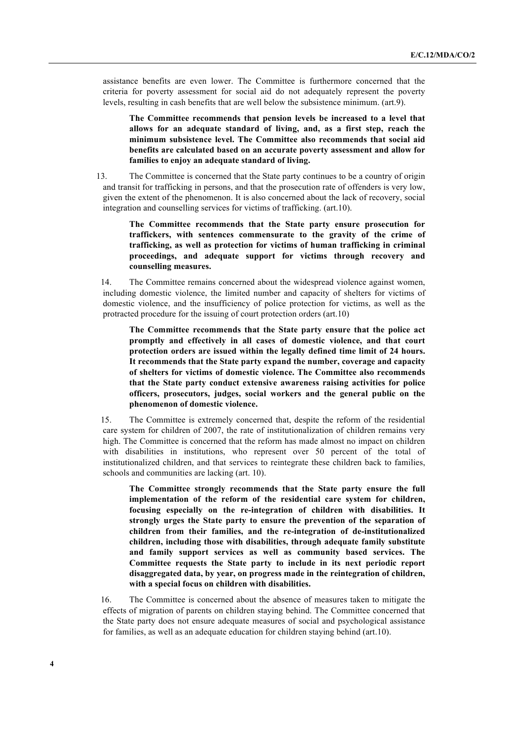assistance benefits are even lower. The Committee is furthermore concerned that the criteria for poverty assessment for social aid do not adequately represent the poverty levels, resulting in cash benefits that are well below the subsistence minimum. (art.9).

**The Committee recommends that pension levels be increased to a level that allows for an adequate standard of living, and, as a first step, reach the minimum subsistence level. The Committee also recommends that social aid benefits are calculated based on an accurate poverty assessment and allow for families to enjoy an adequate standard of living.**

13. The Committee is concerned that the State party continues to be a country of origin and transit for trafficking in persons, and that the prosecution rate of offenders is very low, given the extent of the phenomenon. It is also concerned about the lack of recovery, social integration and counselling services for victims of trafficking. (art.10).

**The Committee recommends that the State party ensure prosecution for traffickers, with sentences commensurate to the gravity of the crime of trafficking, as well as protection for victims of human trafficking in criminal proceedings, and adequate support for victims through recovery and counselling measures.**

14. The Committee remains concerned about the widespread violence against women, including domestic violence, the limited number and capacity of shelters for victims of domestic violence, and the insufficiency of police protection for victims, as well as the protracted procedure for the issuing of court protection orders (art.10)

**The Committee recommends that the State party ensure that the police act promptly and effectively in all cases of domestic violence, and that court protection orders are issued within the legally defined time limit of 24 hours. It recommends that the State party expand the number, coverage and capacity of shelters for victims of domestic violence. The Committee also recommends that the State party conduct extensive awareness raising activities for police officers, prosecutors, judges, social workers and the general public on the phenomenon of domestic violence.**

15. The Committee is extremely concerned that, despite the reform of the residential care system for children of 2007, the rate of institutionalization of children remains very high. The Committee is concerned that the reform has made almost no impact on children with disabilities in institutions, who represent over 50 percent of the total of institutionalized children, and that services to reintegrate these children back to families, schools and communities are lacking (art. 10).

**The Committee strongly recommends that the State party ensure the full implementation of the reform of the residential care system for children, focusing especially on the re-integration of children with disabilities. It strongly urges the State party to ensure the prevention of the separation of children from their families, and the re-integration of de-institutionalized children, including those with disabilities, through adequate family substitute and family support services as well as community based services. The Committee requests the State party to include in its next periodic report disaggregated data, by year, on progress made in the reintegration of children, with a special focus on children with disabilities.**

16. The Committee is concerned about the absence of measures taken to mitigate the effects of migration of parents on children staying behind. The Committee concerned that the State party does not ensure adequate measures of social and psychological assistance for families, as well as an adequate education for children staying behind (art.10).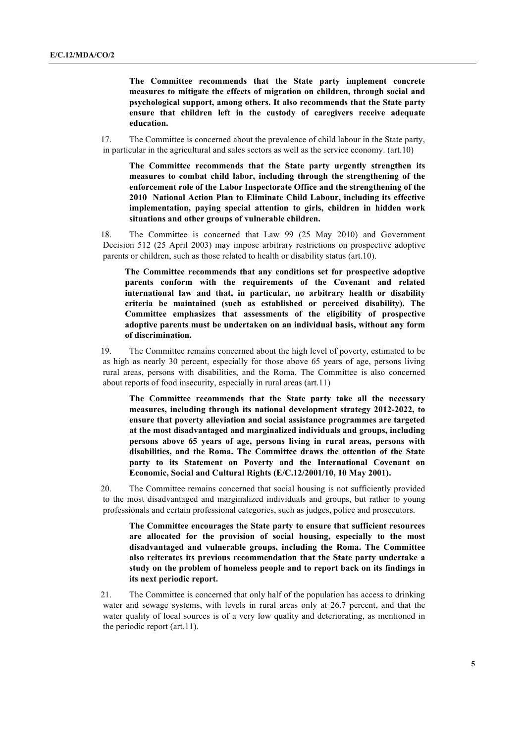**The Committee recommends that the State party implement concrete measures to mitigate the effects of migration on children, through social and psychological support, among others. It also recommends that the State party ensure that children left in the custody of caregivers receive adequate education.** 

17. The Committee is concerned about the prevalence of child labour in the State party, in particular in the agricultural and sales sectors as well as the service economy. (art.10)

**The Committee recommends that the State party urgently strengthen its measures to combat child labor, including through the strengthening of the enforcement role of the Labor Inspectorate Office and the strengthening of the 2010 National Action Plan to Eliminate Child Labour, including its effective implementation, paying special attention to girls, children in hidden work situations and other groups of vulnerable children.** 

18. The Committee is concerned that Law 99 (25 May 2010) and Government Decision 512 (25 April 2003) may impose arbitrary restrictions on prospective adoptive parents or children, such as those related to health or disability status (art.10).

**The Committee recommends that any conditions set for prospective adoptive parents conform with the requirements of the Covenant and related international law and that, in particular, no arbitrary health or disability criteria be maintained (such as established or perceived disability). The Committee emphasizes that assessments of the eligibility of prospective adoptive parents must be undertaken on an individual basis, without any form of discrimination.**

19. The Committee remains concerned about the high level of poverty, estimated to be as high as nearly 30 percent, especially for those above 65 years of age, persons living rural areas, persons with disabilities, and the Roma. The Committee is also concerned about reports of food insecurity, especially in rural areas (art.11)

**The Committee recommends that the State party take all the necessary measures, including through its national development strategy 2012-2022, to ensure that poverty alleviation and social assistance programmes are targeted at the most disadvantaged and marginalized individuals and groups, including persons above 65 years of age, persons living in rural areas, persons with disabilities, and the Roma. The Committee draws the attention of the State party to its Statement on Poverty and the International Covenant on Economic, Social and Cultural Rights (E/C.12/2001/10, 10 May 2001).**

20. The Committee remains concerned that social housing is not sufficiently provided to the most disadvantaged and marginalized individuals and groups, but rather to young professionals and certain professional categories, such as judges, police and prosecutors.

**The Committee encourages the State party to ensure that sufficient resources are allocated for the provision of social housing, especially to the most disadvantaged and vulnerable groups, including the Roma. The Committee also reiterates its previous recommendation that the State party undertake a study on the problem of homeless people and to report back on its findings in its next periodic report.**

21. The Committee is concerned that only half of the population has access to drinking water and sewage systems, with levels in rural areas only at 26.7 percent, and that the water quality of local sources is of a very low quality and deteriorating, as mentioned in the periodic report (art.11).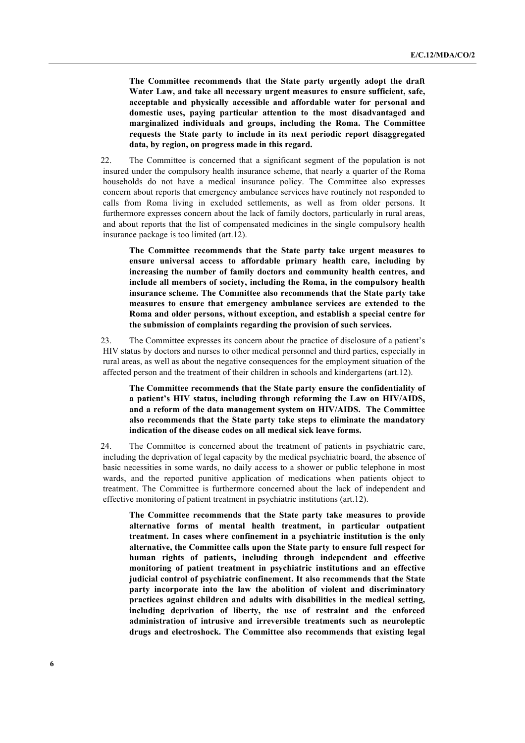**The Committee recommends that the State party urgently adopt the draft Water Law, and take all necessary urgent measures to ensure sufficient, safe, acceptable and physically accessible and affordable water for personal and domestic uses, paying particular attention to the most disadvantaged and marginalized individuals and groups, including the Roma. The Committee requests the State party to include in its next periodic report disaggregated data, by region, on progress made in this regard.** 

22. The Committee is concerned that a significant segment of the population is not insured under the compulsory health insurance scheme, that nearly a quarter of the Roma households do not have a medical insurance policy. The Committee also expresses concern about reports that emergency ambulance services have routinely not responded to calls from Roma living in excluded settlements, as well as from older persons. It furthermore expresses concern about the lack of family doctors, particularly in rural areas, and about reports that the list of compensated medicines in the single compulsory health insurance package is too limited (art.12).

**The Committee recommends that the State party take urgent measures to ensure universal access to affordable primary health care, including by increasing the number of family doctors and community health centres, and include all members of society, including the Roma, in the compulsory health insurance scheme. The Committee also recommends that the State party take measures to ensure that emergency ambulance services are extended to the Roma and older persons, without exception, and establish a special centre for the submission of complaints regarding the provision of such services.** 

23. The Committee expresses its concern about the practice of disclosure of a patient's HIV status by doctors and nurses to other medical personnel and third parties, especially in rural areas, as well as about the negative consequences for the employment situation of the affected person and the treatment of their children in schools and kindergartens (art.12).

**The Committee recommends that the State party ensure the confidentiality of a patient's HIV status, including through reforming the Law on HIV/AIDS, and a reform of the data management system on HIV/AIDS. The Committee also recommends that the State party take steps to eliminate the mandatory indication of the disease codes on all medical sick leave forms.**

24. The Committee is concerned about the treatment of patients in psychiatric care, including the deprivation of legal capacity by the medical psychiatric board, the absence of basic necessities in some wards, no daily access to a shower or public telephone in most wards, and the reported punitive application of medications when patients object to treatment. The Committee is furthermore concerned about the lack of independent and effective monitoring of patient treatment in psychiatric institutions (art.12).

**The Committee recommends that the State party take measures to provide alternative forms of mental health treatment, in particular outpatient treatment. In cases where confinement in a psychiatric institution is the only alternative, the Committee calls upon the State party to ensure full respect for human rights of patients, including through independent and effective monitoring of patient treatment in psychiatric institutions and an effective judicial control of psychiatric confinement. It also recommends that the State party incorporate into the law the abolition of violent and discriminatory practices against children and adults with disabilities in the medical setting, including deprivation of liberty, the use of restraint and the enforced administration of intrusive and irreversible treatments such as neuroleptic drugs and electroshock. The Committee also recommends that existing legal**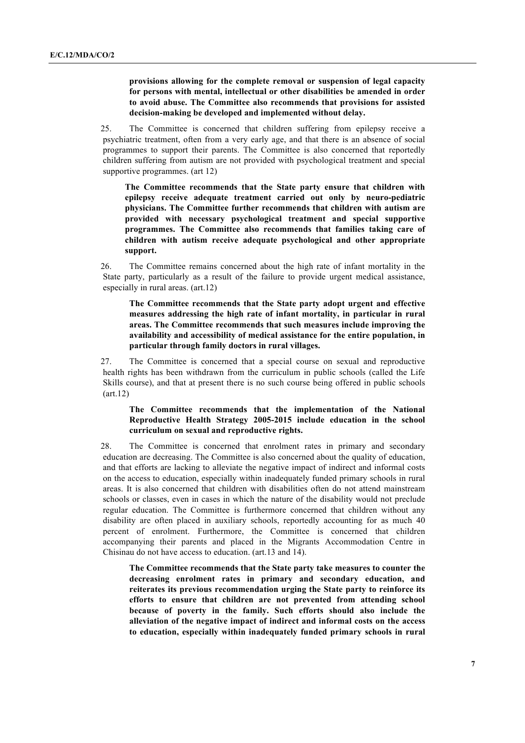**provisions allowing for the complete removal or suspension of legal capacity for persons with mental, intellectual or other disabilities be amended in order to avoid abuse. The Committee also recommends that provisions for assisted decision-making be developed and implemented without delay.**

25. The Committee is concerned that children suffering from epilepsy receive a psychiatric treatment, often from a very early age, and that there is an absence of social programmes to support their parents. The Committee is also concerned that reportedly children suffering from autism are not provided with psychological treatment and special supportive programmes. (art 12)

**The Committee recommends that the State party ensure that children with epilepsy receive adequate treatment carried out only by neuro-pediatric physicians. The Committee further recommends that children with autism are provided with necessary psychological treatment and special supportive programmes. The Committee also recommends that families taking care of children with autism receive adequate psychological and other appropriate support.**

26. The Committee remains concerned about the high rate of infant mortality in the State party, particularly as a result of the failure to provide urgent medical assistance, especially in rural areas. (art.12)

**The Committee recommends that the State party adopt urgent and effective measures addressing the high rate of infant mortality, in particular in rural areas. The Committee recommends that such measures include improving the availability and accessibility of medical assistance for the entire population, in particular through family doctors in rural villages.**

27. The Committee is concerned that a special course on sexual and reproductive health rights has been withdrawn from the curriculum in public schools (called the Life Skills course), and that at present there is no such course being offered in public schools (art.12)

### **The Committee recommends that the implementation of the National Reproductive Health Strategy 2005-2015 include education in the school curriculum on sexual and reproductive rights.**

28. The Committee is concerned that enrolment rates in primary and secondary education are decreasing. The Committee is also concerned about the quality of education, and that efforts are lacking to alleviate the negative impact of indirect and informal costs on the access to education, especially within inadequately funded primary schools in rural areas. It is also concerned that children with disabilities often do not attend mainstream schools or classes, even in cases in which the nature of the disability would not preclude regular education. The Committee is furthermore concerned that children without any disability are often placed in auxiliary schools, reportedly accounting for as much 40 percent of enrolment. Furthermore, the Committee is concerned that children accompanying their parents and placed in the Migrants Accommodation Centre in Chisinau do not have access to education. (art.13 and 14).

**The Committee recommends that the State party take measures to counter the decreasing enrolment rates in primary and secondary education, and reiterates its previous recommendation urging the State party to reinforce its efforts to ensure that children are not prevented from attending school because of poverty in the family. Such efforts should also include the alleviation of the negative impact of indirect and informal costs on the access to education, especially within inadequately funded primary schools in rural**